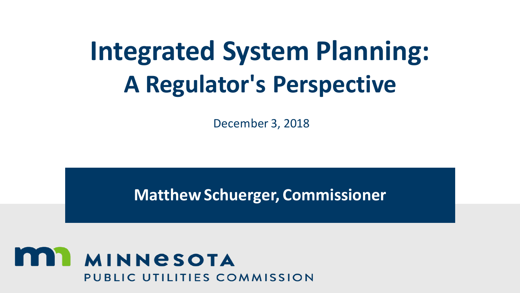# **Integrated System Planning: A Regulator's Perspective**

December 3, 2018

**Matthew Schuerger, Commissioner**

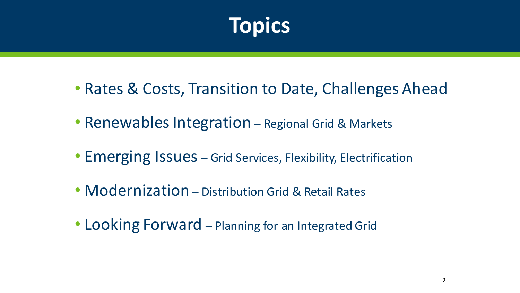

- Rates & Costs, Transition to Date, Challenges Ahead
- Renewables Integration Regional Grid & Markets
- Emerging Issues Grid Services, Flexibility, Electrification
- Modernization Distribution Grid & Retail Rates
- Looking Forward Planning for an Integrated Grid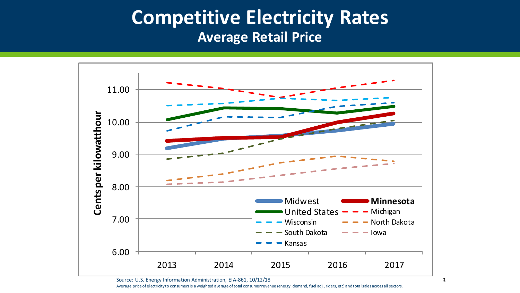### **Competitive Electricity Rates Average Retail Price**



Source: U.S. Energy Information Administration, EIA-861, 10/12/18

Average price of electricity to consumers is a weighted average of total consumer revenue (energy, demand, fuel adj., riders, etc) and total sales across all sectors.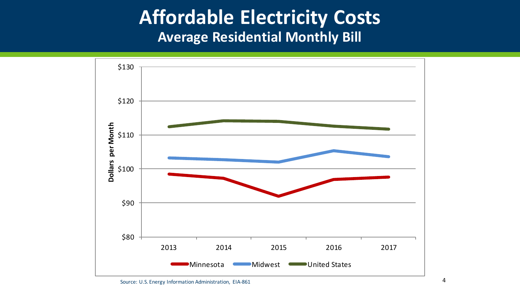### **Affordable Electricity Costs Average Residential Monthly Bill**

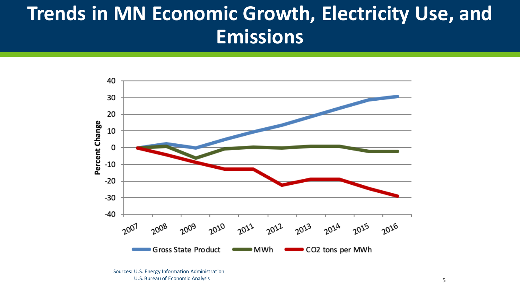# **Trends in MN Economic Growth, Electricity Use, and Emissions**

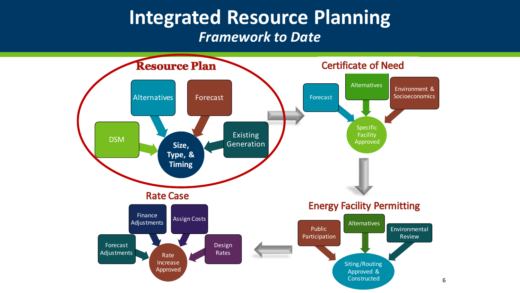### **Integrated Resource Planning** *Framework to Date*

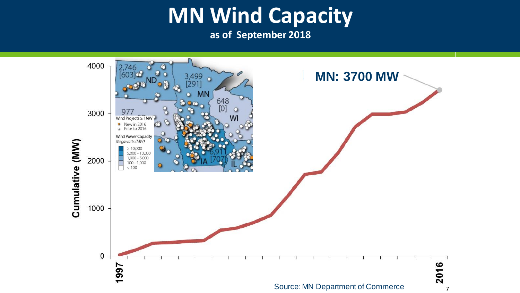# **MN Wind Capacity**<br>as of September 2018

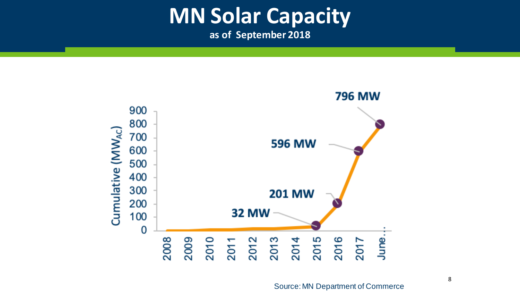# **MN Solar Capacity**<br>as of September 2018

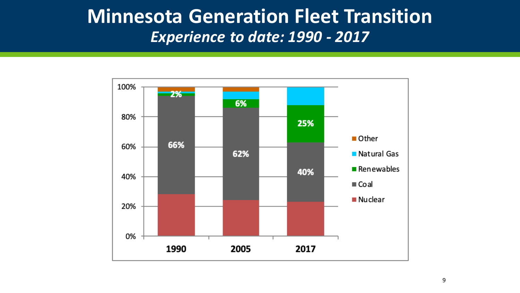### **Minnesota Generation Fleet Transition**  *Experience to date: 1990 - 2017*

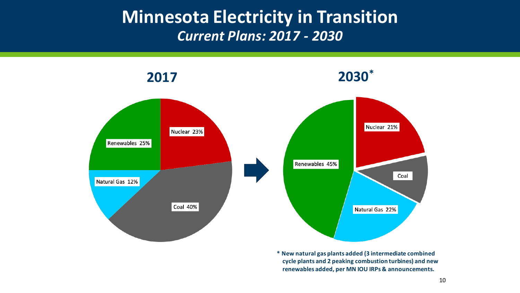### **Minnesota Electricity in Transition** *Current Plans: 2017 - 2030*



**\* New natural gas plants added (3 intermediate combined cycle plants and 2 peaking combustion turbines) and new renewables added, per MN IOU IRPs & announcements.**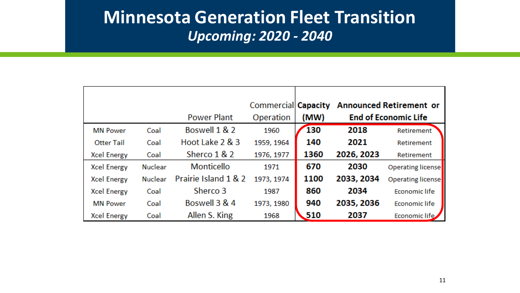### **Minnesota Generation Fleet Transition** *Upcoming: 2020 - 2040*

|                    |                |                      | Commercial Capacity |      |                             | <b>Announced Retirement or</b> |
|--------------------|----------------|----------------------|---------------------|------|-----------------------------|--------------------------------|
|                    |                | <b>Power Plant</b>   | Operation           | (MW) | <b>End of Economic Life</b> |                                |
| <b>MN Power</b>    | Coal           | Boswell 1 & 2        | 1960                | 130  | 2018                        | Retirement                     |
| <b>Otter Tail</b>  | Coal           | Hoot Lake 2 & 3      | 1959, 1964          | 140  | 2021                        | Retirement                     |
| <b>Xcel Energy</b> | Coal           | Sherco 1 & 2         | 1976, 1977          | 1360 | 2026, 2023                  | Retirement                     |
| <b>Xcel Energy</b> | <b>Nuclear</b> | Monticello           | 1971                | 670  | 2030                        | <b>Operating license</b>       |
| <b>Xcel Energy</b> | <b>Nuclear</b> | Prairie Island 1 & 2 | 1973, 1974          | 1100 | 2033, 2034                  | <b>Operating license</b>       |
| <b>Xcel Energy</b> | Coal           | Sherco 3             | 1987                | 860  | 2034                        | <b>Economic life</b>           |
| <b>MN Power</b>    | Coal           | Boswell 3 & 4        | 1973, 1980          | 940  | 2035, 2036                  | <b>Economic life</b>           |
| <b>Xcel Energy</b> | Coal           | Allen S. King        | 1968                | 510  | 2037                        | <b>Economic life</b>           |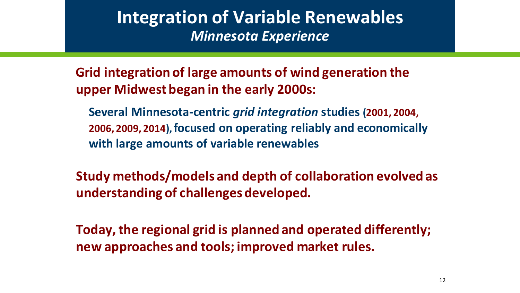### **Integration of Variable Renewables** *Minnesota Experience*

**Grid integration of large amounts of wind generation the upper Midwest began in the early 2000s:**

**Several Minnesota-centric** *grid integration* **studies (2001, 2004, 2006, 2009, 2014), focused on operating reliably and economically with large amounts of variable renewables** 

**Study methods/models and depth of collaboration evolved as understanding of challenges developed.**

**Today, the regional grid is planned and operated differently; new approaches and tools; improved market rules.**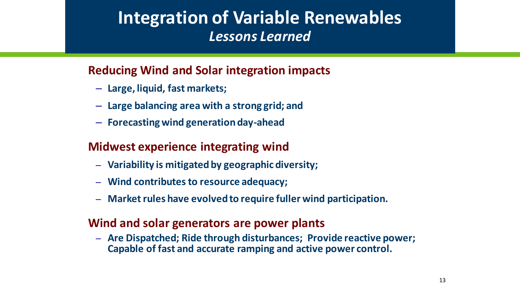### **Integration of Variable Renewables** *Lessons Learned*

#### **Reducing Wind and Solar integration impacts**

- **Large, liquid, fast markets;**
- **Large balancing area with a strong grid; and**
- **Forecasting wind generation day-ahead**

#### **Midwest experience integrating wind**

- **Variability is mitigated by geographic diversity;**
- **Wind contributes to resource adequacy;**
- **Market rules have evolved to require fuller wind participation.**

#### **Wind and solar generators are power plants**

– **Are Dispatched; Ride through disturbances; Provide reactive power; Capable of fast and accurate ramping and active power control.**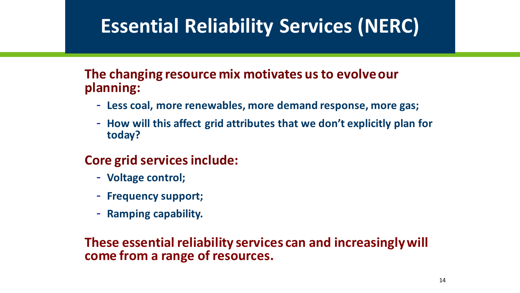# **Essential Reliability Services (NERC)**

#### **The changing resource mix motivates us to evolve our planning:**

- **Less coal, more renewables, more demand response, more gas;**
- **How will this affect grid attributes that we don't explicitly plan for today?**

#### **Core grid services include:**

- **Voltage control;**
- **Frequency support;**
- **Ramping capability.**

#### **These essential reliability services can and increasingly will come from a range of resources.**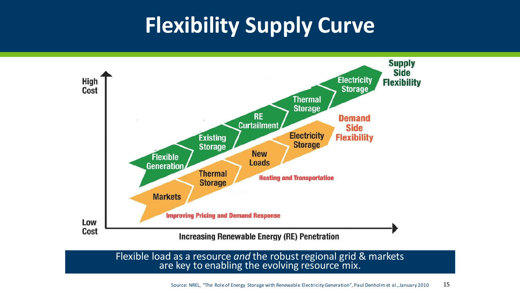# **Flexibility Supply Curve**



Flexible load as a resource *and* the robust regional grid & markets are key to enabling the evolving resource mix.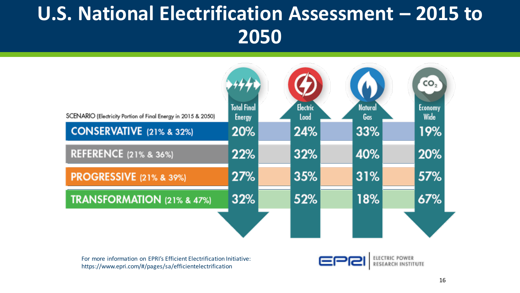# **U.S. National Electrification Assessment – 2015 to 2050**



For more information on EPRI's Efficient Electrification Initiative: https://www.epri.com/#/pages/sa/efficientelectrification

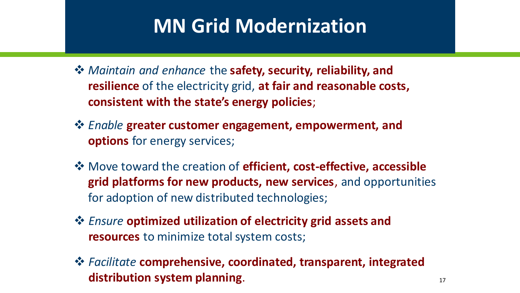# **MN Grid Modernization**

- ❖ *Maintain and enhance* the **safety, security, reliability, and resilience** of the electricity grid, **at fair and reasonable costs, consistent with the state's energy policies**;
- ❖ *Enable* **greater customer engagement, empowerment, and options** for energy services;
- ❖ Move toward the creation of **efficient, cost-effective, accessible grid platforms for new products, new services**, and opportunities for adoption of new distributed technologies;
- ❖ *Ensure* **optimized utilization of electricity grid assets and resources** to minimize total system costs;
- ❖ *Facilitate* **comprehensive, coordinated, transparent, integrated distribution system planning**.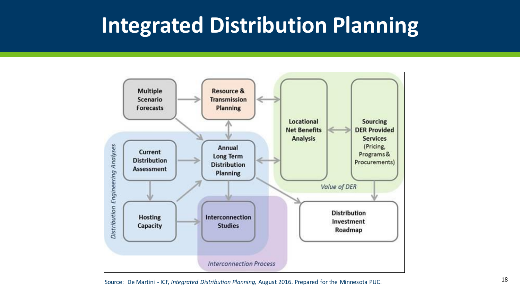# **Integrated Distribution Planning**



18 Source: De Martini - ICF, *Integrated Distribution Planning,* August 2016. Prepared for the Minnesota PUC.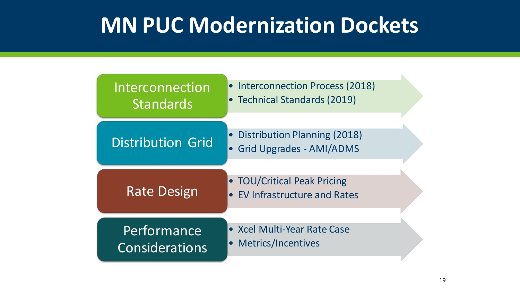# **MN PUC Modernization Dockets**

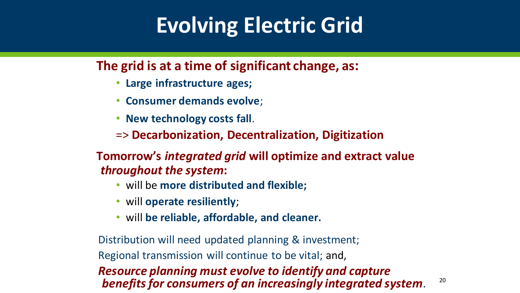# **Evolving Electric Grid**

**The grid is at a time of significant change, as:**

- **Large infrastructure ages;**
- **Consumer demands evolve**;
- **New technology costs fall**.
- => **Decarbonization, Decentralization, Digitization**

**Tomorrow's** *integrated grid* **will optimize and extract value**  *throughout the system***:**

- will be **more distributed and flexible;**
- will **operate resiliently**;
- will **be reliable, affordable, and cleaner.**

Distribution will need updated planning & investment; Regional transmission will continue to be vital; and, *Resource planning must evolve to identify and capture benefits for consumers of an increasingly integrated system.*

20